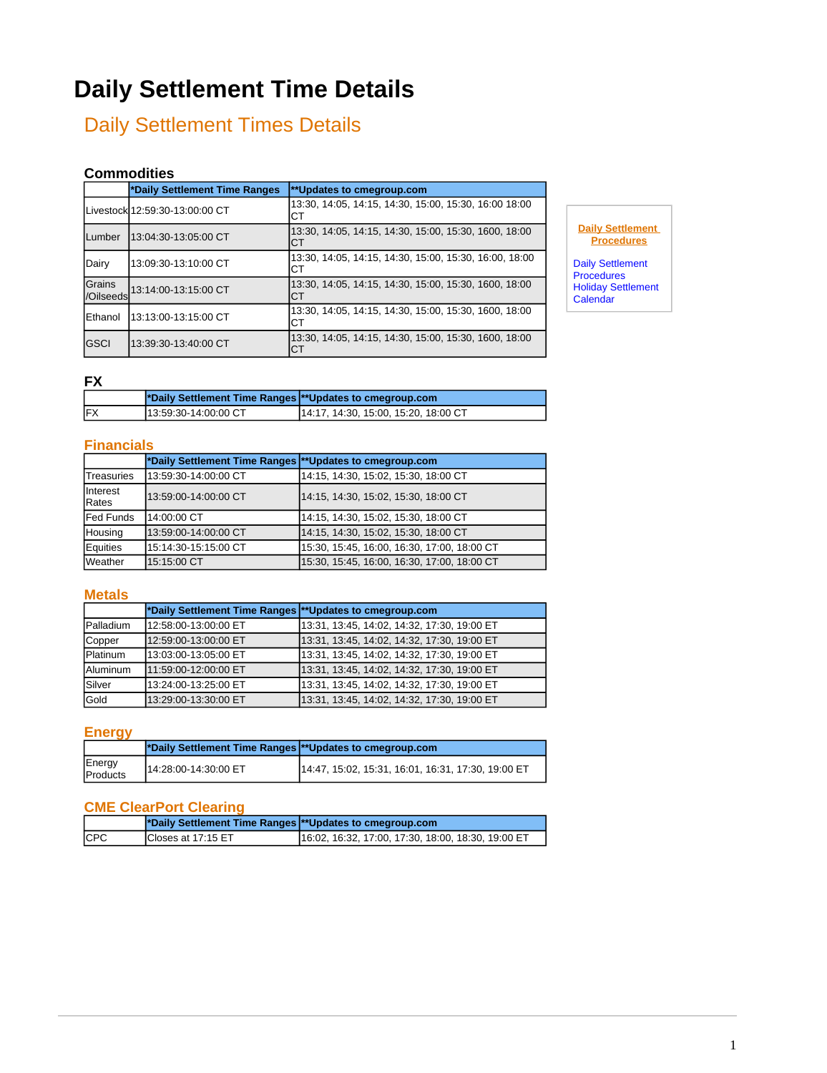# **Daily Settlement Time Details**

# Daily Settlement Times Details

#### **Commodities**

|                     | *Daily Settlement Time Ranges  | **Updates to cmegroup.com                                    |
|---------------------|--------------------------------|--------------------------------------------------------------|
|                     | Livestock 12:59:30-13:00:00 CT | 13:30, 14:05, 14:15, 14:30, 15:00, 15:30, 16:00 18:00<br>CТ  |
| lLumber             | 13:04:30-13:05:00 CT           | 13:30, 14:05, 14:15, 14:30, 15:00, 15:30, 1600, 18:00<br>CТ  |
| Dairy               | 13:09:30-13:10:00 CT           | 13:30, 14:05, 14:15, 14:30, 15:00, 15:30, 16:00, 18:00<br>CТ |
| Grains<br>/Oilseeds | 13:14:00-13:15:00 CT           | 13:30, 14:05, 14:15, 14:30, 15:00, 15:30, 1600, 18:00<br>CТ  |
| Ethanol             | 13:13:00-13:15:00 CT           | 13:30, 14:05, 14:15, 14:30, 15:00, 15:30, 1600, 18:00<br>CТ  |
| lGSCI               | 13:39:30-13:40:00 CT           | 13:30, 14:05, 14:15, 14:30, 15:00, 15:30, 1600, 18:00<br>СT  |

**Daily Settlement Procedures**

[Daily Settlement](http://www.cmegroup.com/confluence/display/EPICSANDBOX/CME+Group+Settlements)  **[Procedures](http://www.cmegroup.com/confluence/display/EPICSANDBOX/CME+Group+Settlements)** [Holiday Settlement](https://wiki.chicago.cme.com/confluence/display/settlement/Holiday+Settlement+Calendar)  **[Calendar](https://wiki.chicago.cme.com/confluence/display/settlement/Holiday+Settlement+Calendar)** 

## **FX**

|            | *Daily Settlement Time Ranges  **Updates to cmegroup.com |                                      |
|------------|----------------------------------------------------------|--------------------------------------|
| <b>IFX</b> | 113:59:30-14:00:00 CT                                    | 14:17, 14:30, 15:00, 15:20, 18:00 CT |

#### **Financials**

|                                 | *Daily Settlement Time Ranges ** Updates to cmegroup.com |                                             |
|---------------------------------|----------------------------------------------------------|---------------------------------------------|
| <b>Treasuries</b>               | 13:59:30-14:00:00 CT                                     | 14:15, 14:30, 15:02, 15:30, 18:00 CT        |
| <b>Interest</b><br><b>Rates</b> | 13:59:00-14:00:00 CT                                     | 14:15, 14:30, 15:02, 15:30, 18:00 CT        |
| <b>Fed Funds</b>                | 14:00:00 CT                                              | 14:15, 14:30, 15:02, 15:30, 18:00 CT        |
| Housing                         | 13:59:00-14:00:00 CT                                     | 14:15, 14:30, 15:02, 15:30, 18:00 CT        |
| <b>E</b> quities                | 15:14:30-15:15:00 CT                                     | 15:30, 15:45, 16:00, 16:30, 17:00, 18:00 CT |
| <b>Weather</b>                  | 15:15:00 CT                                              | 15:30, 15:45, 16:00, 16:30, 17:00, 18:00 CT |

#### **Metals**

|                  | *Daily Settlement Time Ranges  **Updates to cmegroup.com |                                             |
|------------------|----------------------------------------------------------|---------------------------------------------|
| <b>Palladium</b> | 12:58:00-13:00:00 ET                                     | 13:31, 13:45, 14:02, 14:32, 17:30, 19:00 ET |
| Copper           | 12:59:00-13:00:00 ET                                     | 13:31, 13:45, 14:02, 14:32, 17:30, 19:00 ET |
| <b>Platinum</b>  | 13:03:00-13:05:00 ET                                     | 13:31, 13:45, 14:02, 14:32, 17:30, 19:00 ET |
| lAluminum        | 11:59:00-12:00:00 ET                                     | 13:31, 13:45, 14:02, 14:32, 17:30, 19:00 ET |
| İSilver          | 13:24:00-13:25:00 ET                                     | 13:31, 13:45, 14:02, 14:32, 17:30, 19:00 ET |
| lGold            | 13:29:00-13:30:00 ET                                     | 13:31, 13:45, 14:02, 14:32, 17:30, 19:00 ET |

#### **Energy**

|                    | *Daily Settlement Time Ranges  **Updates to cmegroup.com |                                                    |
|--------------------|----------------------------------------------------------|----------------------------------------------------|
| Energy<br>Products | 14:28:00-14:30:00 ET                                     | 14:47, 15:02, 15:31, 16:01, 16:31, 17:30, 19:00 ET |

## **CME ClearPort Clearing**

|             | *Daily Settlement Time Ranges  **Updates to cmegroup.com |                                                    |
|-------------|----------------------------------------------------------|----------------------------------------------------|
| <b>ICPC</b> | ICloses at 17:15 ET                                      | 16:02, 16:32, 17:00, 17:30, 18:00, 18:30, 19:00 ET |